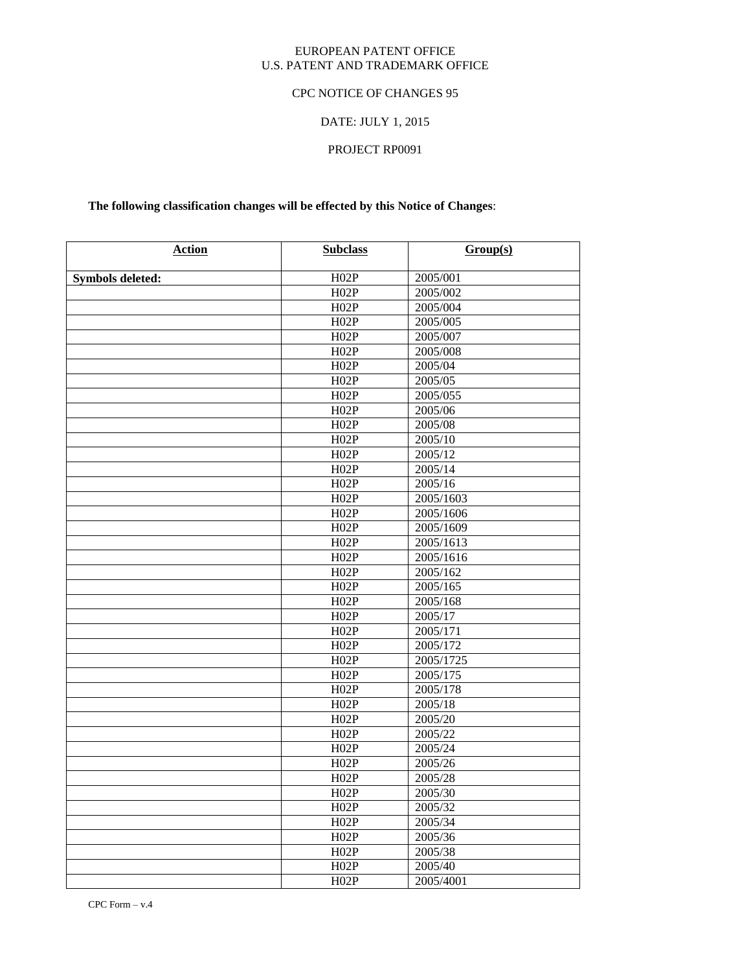#### EUROPEAN PATENT OFFICE U.S. PATENT AND TRADEMARK OFFICE

### CPC NOTICE OF CHANGES 95

# DATE: JULY 1, 2015

# PROJECT RP0091

# **The following classification changes will be effected by this Notice of Changes**:

| <b>Action</b>    | <b>Subclass</b> | Group(s)  |
|------------------|-----------------|-----------|
| Symbols deleted: | H02P            | 2005/001  |
|                  | H02P            | 2005/002  |
|                  | H02P            | 2005/004  |
|                  | H02P            | 2005/005  |
|                  | H02P            | 2005/007  |
|                  | H02P            | 2005/008  |
|                  | H02P            | 2005/04   |
|                  | H02P            | 2005/05   |
|                  | H02P            | 2005/055  |
|                  | H02P            | 2005/06   |
|                  | H02P            | 2005/08   |
|                  | H02P            | 2005/10   |
|                  | H02P            | 2005/12   |
|                  | H02P            | 2005/14   |
|                  | H02P            | 2005/16   |
|                  | H02P            | 2005/1603 |
|                  | H02P            | 2005/1606 |
|                  | H02P            | 2005/1609 |
|                  | H02P            | 2005/1613 |
|                  | H02P            | 2005/1616 |
|                  | H02P            | 2005/162  |
|                  | H02P            | 2005/165  |
|                  | H02P            | 2005/168  |
|                  | H02P            | 2005/17   |
|                  | H02P            | 2005/171  |
|                  | H02P            | 2005/172  |
|                  | H02P            | 2005/1725 |
|                  | H02P            | 2005/175  |
|                  | H02P            | 2005/178  |
|                  | H02P            | 2005/18   |
|                  | H02P            | 2005/20   |
|                  | H02P            | 2005/22   |
|                  | H02P            | 2005/24   |
|                  | H02P            | 2005/26   |
|                  | H02P            | 2005/28   |
|                  | H02P            | 2005/30   |
|                  | H02P            | 2005/32   |
|                  | H02P            | 2005/34   |
|                  | H02P            | 2005/36   |
|                  | H02P            | 2005/38   |
|                  | H02P            | 2005/40   |
|                  | H02P            | 2005/4001 |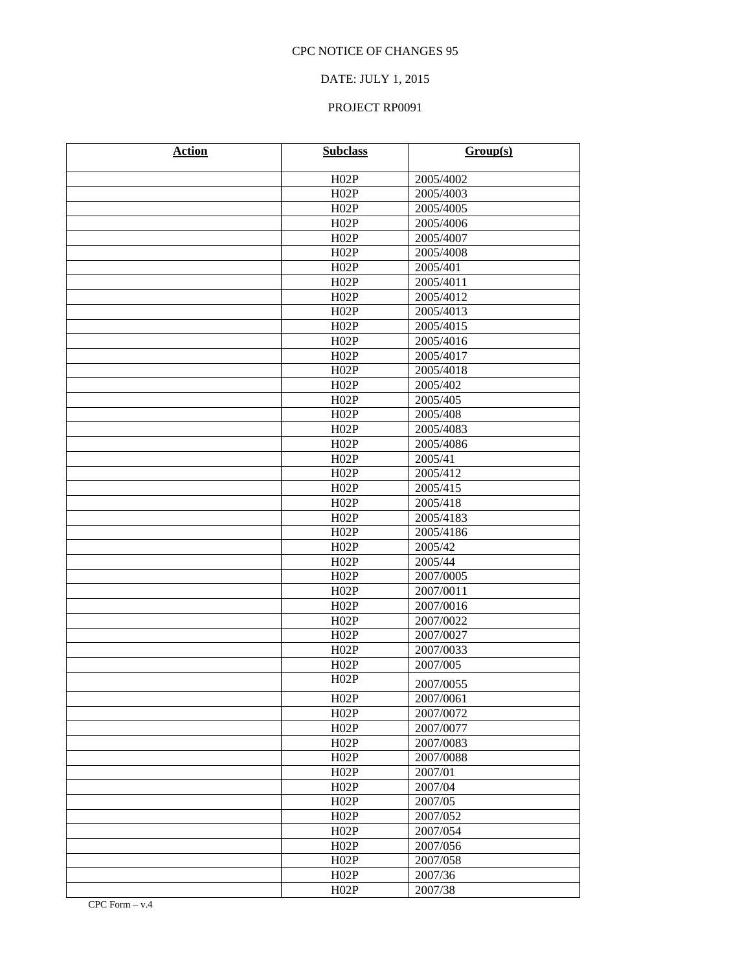### DATE: JULY 1, 2015

| <b>Action</b> | <b>Subclass</b> | Group(s)             |
|---------------|-----------------|----------------------|
|               | H02P            | 2005/4002            |
|               | H02P            | 2005/4003            |
|               | H02P            | 2005/4005            |
|               | H02P            | 2005/4006            |
|               | H02P            | 2005/4007            |
|               | H02P            | 2005/4008            |
|               | H02P            | 2005/401             |
|               | H02P            | 2005/4011            |
|               | H02P            | 2005/4012            |
|               | H02P            | 2005/4013            |
|               | H02P            | 2005/4015            |
|               | H02P            | 2005/4016            |
|               | H02P            | 2005/4017            |
|               | H02P            | 2005/4018            |
|               | H02P            | 2005/402             |
|               | H02P            | 2005/405             |
|               | H02P            | 2005/408             |
|               | H02P            | 2005/4083            |
|               | H02P            | 2005/4086            |
|               | H02P            | 2005/41              |
|               | H02P            | 2005/412             |
|               | H02P            | 2005/415             |
|               | H02P            | 2005/418             |
|               | H02P            | 2005/4183            |
|               | H02P            | 2005/4186            |
|               | H02P            | $200\overline{5/42}$ |
|               | H02P            | 2005/44              |
|               | H02P            | 2007/0005            |
|               | H02P            | 2007/0011            |
|               | H02P            | 2007/0016            |
|               | H02P            | 2007/0022            |
|               | H02P            | 2007/0027            |
|               | H02P            | 2007/0033            |
|               | H02P            | 2007/005             |
|               | H02P            | 2007/0055            |
|               | H02P            | 2007/0061            |
|               | H02P            | 2007/0072            |
|               | H02P            | 2007/0077            |
|               | H02P            | 2007/0083            |
|               | H02P            | 2007/0088            |
|               | H02P            | 2007/01              |
|               | H02P            | 2007/04              |
|               | H02P            | 2007/05              |
|               | H02P            | 2007/052             |
|               | H02P            | 2007/054             |
|               | H02P            | 2007/056             |
|               | H02P            | 2007/058             |
|               | H02P            | 2007/36              |
|               | H02P            | 2007/38              |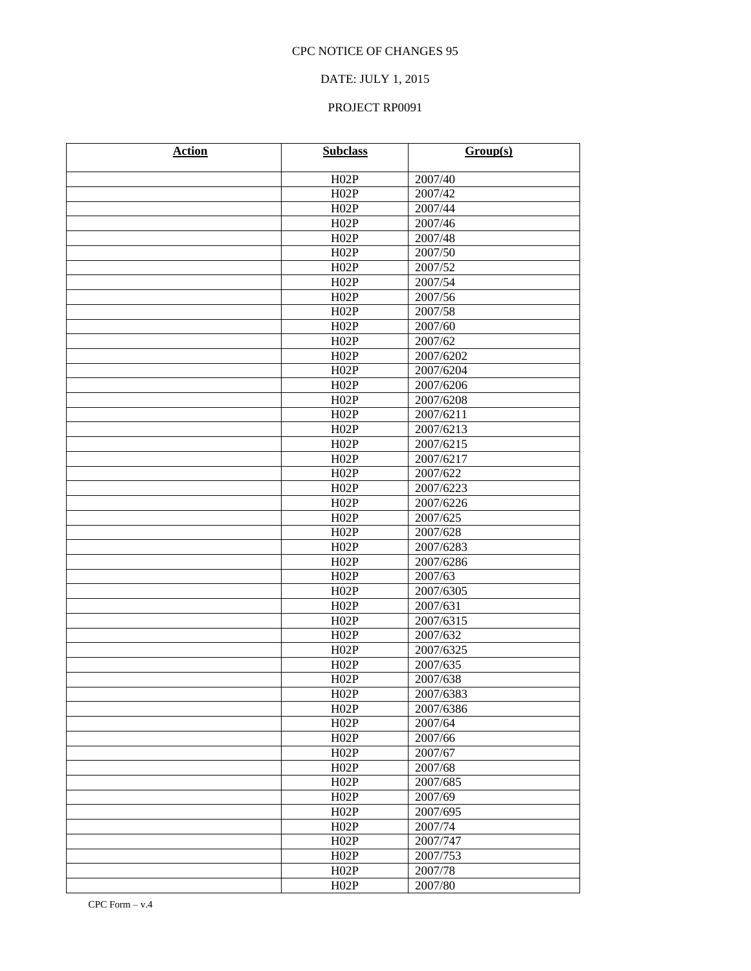### DATE: JULY 1, 2015

| <b>Action</b> | <b>Subclass</b> | Group(s)  |
|---------------|-----------------|-----------|
|               | H02P            | 2007/40   |
|               | H02P            | 2007/42   |
|               | H02P            | 2007/44   |
|               | H02P            | 2007/46   |
|               | H02P            | 2007/48   |
|               | H02P            | 2007/50   |
|               | H02P            | 2007/52   |
|               | H02P            | 2007/54   |
|               | H02P            | 2007/56   |
|               | H02P            | 2007/58   |
|               | H02P            | 2007/60   |
|               | H02P            | 2007/62   |
|               | H02P            | 2007/6202 |
|               | H02P            | 2007/6204 |
|               | H02P            | 2007/6206 |
|               | H02P            | 2007/6208 |
|               | H02P            | 2007/6211 |
|               | H02P            | 2007/6213 |
|               | H02P            | 2007/6215 |
|               | H02P            | 2007/6217 |
|               | H02P            | 2007/622  |
|               | H02P            | 2007/6223 |
|               | H02P            | 2007/6226 |
|               | H02P            | 2007/625  |
|               | H02P            | 2007/628  |
|               | H02P            | 2007/6283 |
|               | H02P            | 2007/6286 |
|               | H02P            | 2007/63   |
|               | H02P            | 2007/6305 |
|               | H02P            | 2007/631  |
|               | H02P            | 2007/6315 |
|               | H02P            | 2007/632  |
|               | H02P            | 2007/6325 |
|               | H02P            | 2007/635  |
|               | H02P            | 2007/638  |
|               | H02P            | 2007/6383 |
|               | H02P            | 2007/6386 |
|               | H02P            | 2007/64   |
|               | H02P            | 2007/66   |
|               | H02P            | 2007/67   |
|               | H02P            | 2007/68   |
|               | H02P            | 2007/685  |
|               | H02P            | 2007/69   |
|               | H02P            | 2007/695  |
|               | H02P            | 2007/74   |
|               | H02P            | 2007/747  |
|               | H02P            | 2007/753  |
|               | H02P            | 2007/78   |
|               | H02P            | 2007/80   |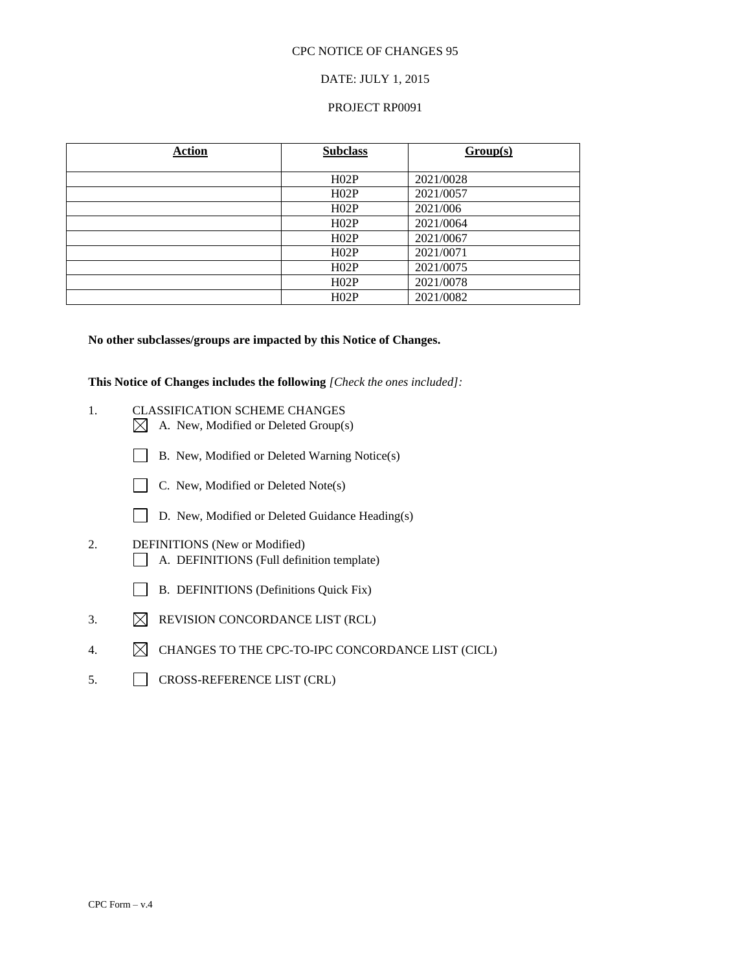#### DATE: JULY 1, 2015

#### PROJECT RP0091

| <b>Action</b> | <b>Subclass</b> | Group(s)  |
|---------------|-----------------|-----------|
|               |                 |           |
|               | H02P            | 2021/0028 |
|               | H02P            | 2021/0057 |
|               | H02P            | 2021/006  |
|               | H02P            | 2021/0064 |
|               | H02P            | 2021/0067 |
|               | H02P            | 2021/0071 |
|               | H02P            | 2021/0075 |
|               | H02P            | 2021/0078 |
|               | H02P            | 2021/0082 |

#### **No other subclasses/groups are impacted by this Notice of Changes.**

**This Notice of Changes includes the following** *[Check the ones included]:*

- 1. CLASSIFICATION SCHEME CHANGES  $\boxtimes$  A. New, Modified or Deleted Group(s)
	- B. New, Modified or Deleted Warning Notice(s)
	- C. New, Modified or Deleted Note(s)
	- D. New, Modified or Deleted Guidance Heading(s)
- 2. DEFINITIONS (New or Modified) A. DEFINITIONS (Full definition template)
	- B. DEFINITIONS (Definitions Quick Fix)
- 3.  $\boxtimes$  REVISION CONCORDANCE LIST (RCL)
- 4.  $\boxtimes$  CHANGES TO THE CPC-TO-IPC CONCORDANCE LIST (CICL)
- 5. CROSS-REFERENCE LIST (CRL)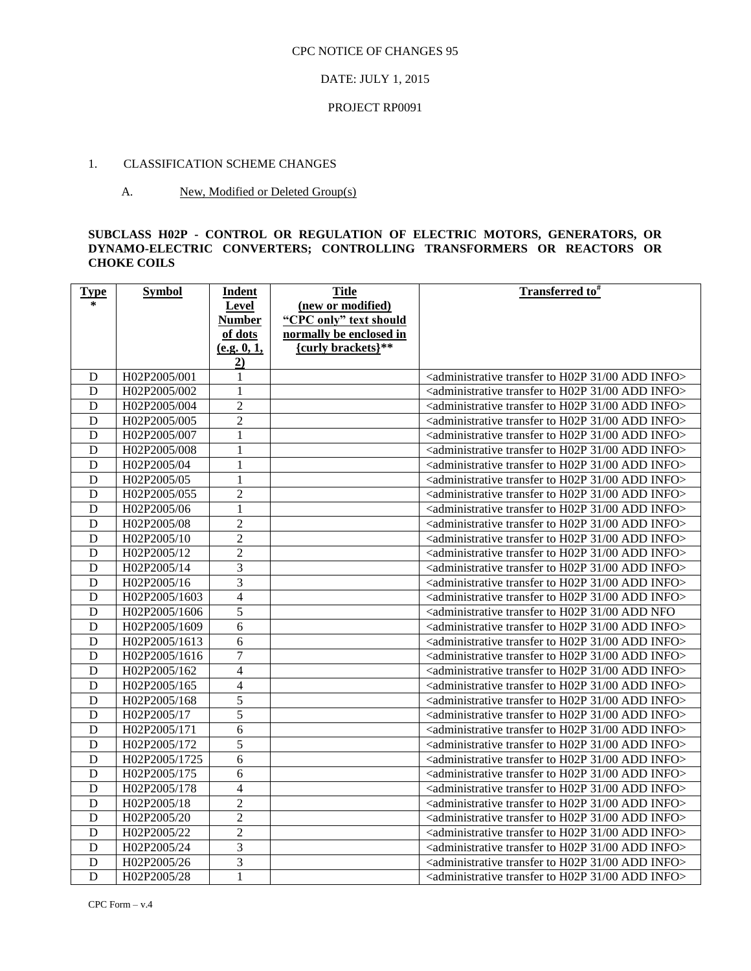#### DATE: JULY 1, 2015

#### PROJECT RP0091

#### 1. CLASSIFICATION SCHEME CHANGES

#### A. New, Modified or Deleted Group(s)

#### **SUBCLASS H02P - CONTROL OR REGULATION OF ELECTRIC MOTORS, GENERATORS, OR DYNAMO-ELECTRIC CONVERTERS; CONTROLLING TRANSFORMERS OR REACTORS OR CHOKE COILS**

| <b>Type</b> | <b>Symbol</b> | Indent         | <b>Title</b>            | Transferred to <sup>#</sup>                                                                  |
|-------------|---------------|----------------|-------------------------|----------------------------------------------------------------------------------------------|
| $\ast$      |               | Level          | (new or modified)       |                                                                                              |
|             |               | <b>Number</b>  | "CPC only" text should  |                                                                                              |
|             |               | of dots        | normally be enclosed in |                                                                                              |
|             |               | (e.g. 0, 1,    | {curly brackets}**      |                                                                                              |
|             |               | 2)             |                         |                                                                                              |
| D           | H02P2005/001  | $\mathbf{1}$   |                         | <administrative 00="" 31="" add="" h02p="" info="" to="" transfer=""></administrative>       |
| D           | H02P2005/002  | 1              |                         | <administrative 00="" 31="" add="" h02p="" info="" to="" transfer=""></administrative>       |
| D           | H02P2005/004  | $\overline{2}$ |                         | <administrative 00="" 31="" add="" h02p="" info="" to="" transfer=""></administrative>       |
| D           | H02P2005/005  | $\overline{2}$ |                         | <administrative 00="" 31="" add="" h02p="" info="" to="" transfer=""></administrative>       |
| D           | H02P2005/007  | 1              |                         | <administrative 00="" 31="" add="" h02p="" info="" to="" transfer=""></administrative>       |
| D           | H02P2005/008  | 1              |                         | <administrative 00="" 31="" add="" h02p="" info="" to="" transfer=""></administrative>       |
| D           | H02P2005/04   | 1              |                         | <administrative 00="" 31="" add="" h02p="" info="" to="" transfer=""></administrative>       |
| D           | H02P2005/05   | 1              |                         | <administrative 00="" 31="" add="" h02p="" info="" to="" transfer=""></administrative>       |
| D           | H02P2005/055  | $\overline{c}$ |                         | <administrative 00="" 31="" add="" h02p="" info="" to="" transfer=""></administrative>       |
| $\mathbf D$ | H02P2005/06   | $\mathbf{1}$   |                         | <administrative 00="" 31="" add="" h02p="" info="" to="" transfer=""></administrative>       |
| D           | H02P2005/08   | $\overline{2}$ |                         | <administrative 00="" 31="" add="" h02p="" info="" to="" transfer=""></administrative>       |
| D           | H02P2005/10   | $\overline{2}$ |                         | <administrative 00="" 31="" add="" h02p="" info="" to="" transfer=""></administrative>       |
| D           | H02P2005/12   | $\overline{2}$ |                         | <administrative 00="" 31="" add="" h02p="" info="" to="" transfer=""></administrative>       |
| D           | H02P2005/14   | 3              |                         | <administrative 00="" 31="" add="" h02p="" info="" to="" transfer=""></administrative>       |
| D           | H02P2005/16   | $\overline{3}$ |                         | <administrative 00="" 31="" add="" h02p="" info="" to="" transfer=""></administrative>       |
| D           | H02P2005/1603 | $\overline{4}$ |                         | <administrative 00="" 31="" add="" h02p="" info="" to="" transfer=""></administrative>       |
| $\mathbf D$ | H02P2005/1606 | $\overline{5}$ |                         | <administrative 00="" 31="" add="" h02p="" nfo<="" td="" to="" transfer=""></administrative> |
| D           | H02P2005/1609 | 6              |                         | <administrative 00="" 31="" add="" h02p="" info="" to="" transfer=""></administrative>       |
| D           | H02P2005/1613 | 6              |                         | <administrative 00="" 31="" add="" h02p="" info="" to="" transfer=""></administrative>       |
| D           | H02P2005/1616 | $\tau$         |                         | <administrative 00="" 31="" add="" h02p="" info="" to="" transfer=""></administrative>       |
| D           | H02P2005/162  | $\overline{4}$ |                         | <administrative 00="" 31="" add="" h02p="" info="" to="" transfer=""></administrative>       |
| D           | H02P2005/165  | $\overline{4}$ |                         | <administrative 00="" 31="" add="" h02p="" info="" to="" transfer=""></administrative>       |
| D           | H02P2005/168  | 5              |                         | <administrative 00="" 31="" add="" h02p="" info="" to="" transfer=""></administrative>       |
| D           | H02P2005/17   | 5              |                         | <administrative 00="" 31="" add="" h02p="" info="" to="" transfer=""></administrative>       |
| D           | H02P2005/171  | 6              |                         | <administrative 00="" 31="" add="" h02p="" info="" to="" transfer=""></administrative>       |
| D           | H02P2005/172  | 5              |                         | <administrative 00="" 31="" add="" h02p="" info="" to="" transfer=""></administrative>       |
| D           | H02P2005/1725 | 6              |                         | <administrative 00="" 31="" add="" h02p="" info="" to="" transfer=""></administrative>       |
| D           | H02P2005/175  | 6              |                         | <administrative 00="" 31="" add="" h02p="" info="" to="" transfer=""></administrative>       |
| D           | H02P2005/178  | $\overline{4}$ |                         | <administrative 00="" 31="" add="" h02p="" info="" to="" transfer=""></administrative>       |
| D           | H02P2005/18   | $\overline{2}$ |                         | <administrative 00="" 31="" add="" h02p="" info="" to="" transfer=""></administrative>       |
| D           | H02P2005/20   | $\overline{c}$ |                         | <administrative 00="" 31="" add="" h02p="" info="" to="" transfer=""></administrative>       |
| D           | H02P2005/22   | $\overline{c}$ |                         | <administrative 00="" 31="" add="" h02p="" info="" to="" transfer=""></administrative>       |
| D           | H02P2005/24   | $\overline{3}$ |                         | <administrative 00="" 31="" add="" h02p="" info="" to="" transfer=""></administrative>       |
| D           | H02P2005/26   | $\overline{3}$ |                         | <administrative 00="" 31="" add="" h02p="" info="" to="" transfer=""></administrative>       |
| D           | H02P2005/28   | 1              |                         | <administrative 00="" 31="" add="" h02p="" info="" to="" transfer=""></administrative>       |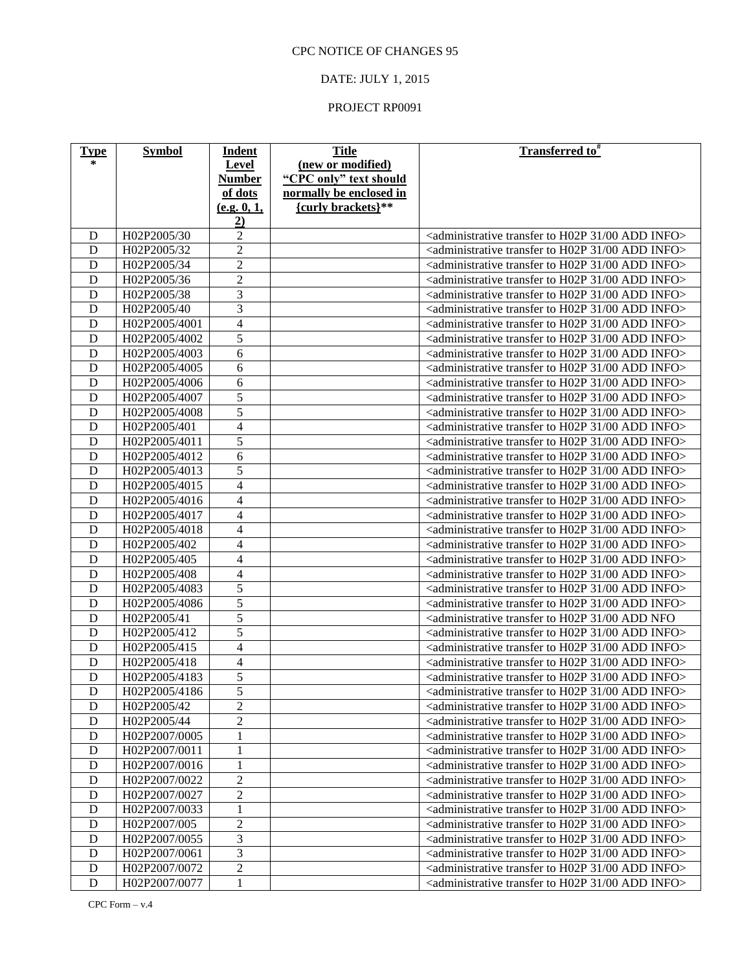### DATE: JULY 1, 2015

| <b>Type</b> | <b>Symbol</b> | Indent                   | <b>Title</b>            | <b>Transferred to</b> #                                                                      |
|-------------|---------------|--------------------------|-------------------------|----------------------------------------------------------------------------------------------|
| $\ast$      |               | Level                    | (new or modified)       |                                                                                              |
|             |               | <b>Number</b>            | "CPC only" text should  |                                                                                              |
|             |               | of dots                  | normally be enclosed in |                                                                                              |
|             |               | (e.g. 0, 1,              | {curly brackets}**      |                                                                                              |
|             |               | $\overline{2}$           |                         |                                                                                              |
| D           | H02P2005/30   | $\overline{c}$           |                         | <administrative 00="" 31="" add="" h02p="" info="" to="" transfer=""></administrative>       |
| D           | H02P2005/32   | $\overline{2}$           |                         | <administrative 00="" 31="" add="" h02p="" info="" to="" transfer=""></administrative>       |
| D           | H02P2005/34   | $\overline{2}$           |                         | <administrative 00="" 31="" add="" h02p="" info="" to="" transfer=""></administrative>       |
| D           | H02P2005/36   | $\overline{c}$           |                         | <administrative 00="" 31="" add="" h02p="" info="" to="" transfer=""></administrative>       |
| D           | H02P2005/38   | 3                        |                         | <administrative 00="" 31="" add="" h02p="" info="" to="" transfer=""></administrative>       |
| D           | H02P2005/40   | $\overline{3}$           |                         | <administrative 00="" 31="" add="" h02p="" info="" to="" transfer=""></administrative>       |
| D           | H02P2005/4001 | $\overline{\mathbf{4}}$  |                         | <administrative 00="" 31="" add="" h02p="" info="" to="" transfer=""></administrative>       |
| D           | H02P2005/4002 | 5                        |                         | <administrative 00="" 31="" add="" h02p="" info="" to="" transfer=""></administrative>       |
| D           | H02P2005/4003 | 6                        |                         | <administrative 00="" 31="" add="" h02p="" info="" to="" transfer=""></administrative>       |
| D           | H02P2005/4005 | 6                        |                         | <administrative 00="" 31="" add="" h02p="" info="" to="" transfer=""></administrative>       |
| D           | H02P2005/4006 | 6                        |                         | <administrative 00="" 31="" add="" h02p="" info="" to="" transfer=""></administrative>       |
| D           | H02P2005/4007 | 5                        |                         | <administrative 00="" 31="" add="" h02p="" info="" to="" transfer=""></administrative>       |
| D           | H02P2005/4008 | 5                        |                         | <administrative 00="" 31="" add="" h02p="" info="" to="" transfer=""></administrative>       |
| D           | H02P2005/401  | $\overline{\mathbf{4}}$  |                         | <administrative 00="" 31="" add="" h02p="" info="" to="" transfer=""></administrative>       |
| D           | H02P2005/4011 | 5                        |                         | <administrative 00="" 31="" add="" h02p="" info="" to="" transfer=""></administrative>       |
| D           | H02P2005/4012 | 6                        |                         | <administrative 00="" 31="" add="" h02p="" info="" to="" transfer=""></administrative>       |
| D           | H02P2005/4013 | 5                        |                         | <administrative 00="" 31="" add="" h02p="" info="" to="" transfer=""></administrative>       |
| D           | H02P2005/4015 | 4                        |                         | <administrative 00="" 31="" add="" h02p="" info="" to="" transfer=""></administrative>       |
| D           | H02P2005/4016 | 4                        |                         | <administrative 00="" 31="" add="" h02p="" info="" to="" transfer=""></administrative>       |
| D           | H02P2005/4017 | 4                        |                         | <administrative 00="" 31="" add="" h02p="" info="" to="" transfer=""></administrative>       |
| D           | H02P2005/4018 | 4                        |                         | <administrative 00="" 31="" add="" h02p="" info="" to="" transfer=""></administrative>       |
| D           | H02P2005/402  | 4                        |                         | <administrative 00="" 31="" add="" h02p="" info="" to="" transfer=""></administrative>       |
| D           | H02P2005/405  | 4                        |                         | <administrative 00="" 31="" add="" h02p="" info="" to="" transfer=""></administrative>       |
| D           | H02P2005/408  | $\overline{\mathcal{L}}$ |                         | <administrative 00="" 31="" add="" h02p="" info="" to="" transfer=""></administrative>       |
| D           | H02P2005/4083 | 5                        |                         | <administrative 00="" 31="" add="" h02p="" info="" to="" transfer=""></administrative>       |
| D           | H02P2005/4086 | 5                        |                         | <administrative 00="" 31="" add="" h02p="" info="" to="" transfer=""></administrative>       |
| D           | H02P2005/41   | 5                        |                         | <administrative 00="" 31="" add="" h02p="" nfo<="" td="" to="" transfer=""></administrative> |
| D           | H02P2005/412  | 5                        |                         | <administrative 00="" 31="" add="" h02p="" info="" to="" transfer=""></administrative>       |
| D           | H02P2005/415  | $\overline{4}$           |                         | <administrative 00="" 31="" add="" h02p="" info="" to="" transfer=""></administrative>       |
| D           | H02P2005/418  | 4                        |                         | <administrative 00="" 31="" add="" h02p="" info="" to="" transfer=""></administrative>       |
| D           | H02P2005/4183 | 5                        |                         | <administrative 00="" 31="" add="" h02p="" info="" to="" transfer=""></administrative>       |
| ${\rm D}$   | H02P2005/4186 | $\overline{5}$           |                         | <administrative 00="" 31="" add="" h02p="" info="" to="" transfer=""></administrative>       |
| D           | H02P2005/42   | $\overline{2}$           |                         | <administrative 00="" 31="" add="" h02p="" info="" to="" transfer=""></administrative>       |
| D           | H02P2005/44   | $\overline{c}$           |                         | <administrative 00="" 31="" add="" h02p="" info="" to="" transfer=""></administrative>       |
| D           | H02P2007/0005 | $\mathbf 1$              |                         | <administrative 00="" 31="" add="" h02p="" info="" to="" transfer=""></administrative>       |
| D           | H02P2007/0011 | $\mathbf{1}$             |                         | <administrative 00="" 31="" add="" h02p="" info="" to="" transfer=""></administrative>       |
| D           | H02P2007/0016 | 1                        |                         | <administrative 00="" 31="" add="" h02p="" info="" to="" transfer=""></administrative>       |
| D           | H02P2007/0022 | $\overline{2}$           |                         | <administrative 00="" 31="" add="" h02p="" info="" to="" transfer=""></administrative>       |
| D           | H02P2007/0027 | $\overline{c}$           |                         | <administrative 00="" 31="" add="" h02p="" info="" to="" transfer=""></administrative>       |
| D           | H02P2007/0033 | 1                        |                         | <administrative 00="" 31="" add="" h02p="" info="" to="" transfer=""></administrative>       |
| D           | H02P2007/005  | $\overline{2}$           |                         | <administrative 00="" 31="" add="" h02p="" info="" to="" transfer=""></administrative>       |
| D           | H02P2007/0055 | 3                        |                         | <administrative 00="" 31="" add="" h02p="" info="" to="" transfer=""></administrative>       |
| D           | H02P2007/0061 | 3                        |                         | <administrative 00="" 31="" add="" h02p="" info="" to="" transfer=""></administrative>       |
| $\mathbf D$ | H02P2007/0072 | $\overline{c}$           |                         | <administrative 00="" 31="" add="" h02p="" info="" to="" transfer=""></administrative>       |
| D           | H02P2007/0077 | $\mathbf{1}$             |                         | <administrative 00="" 31="" add="" h02p="" info="" to="" transfer=""></administrative>       |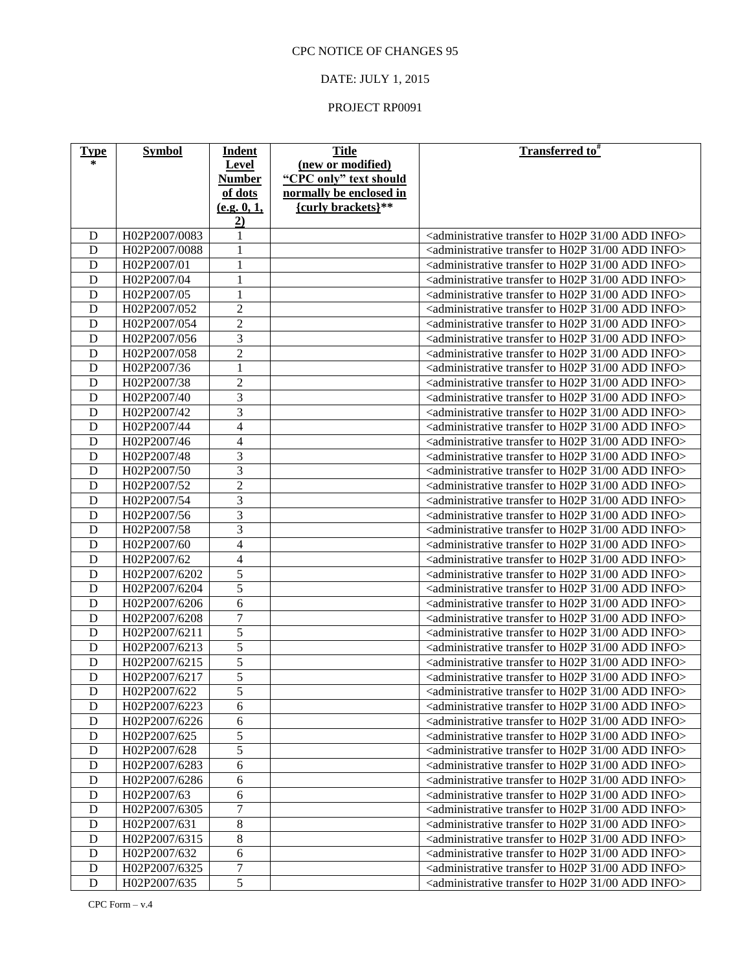### DATE: JULY 1, 2015

| <b>Type</b> | <b>Symbol</b> | Indent                   | <b>Title</b>            | <b>Transferred to</b> #                                                                |
|-------------|---------------|--------------------------|-------------------------|----------------------------------------------------------------------------------------|
| $\ast$      |               | <b>Level</b>             | (new or modified)       |                                                                                        |
|             |               | <b>Number</b>            | "CPC only" text should  |                                                                                        |
|             |               | of dots                  | normally be enclosed in |                                                                                        |
|             |               | (e.g. 0, 1,              | {curly brackets}**      |                                                                                        |
|             |               | 2)                       |                         |                                                                                        |
| D           | H02P2007/0083 | 1                        |                         | <administrative 00="" 31="" add="" h02p="" info="" to="" transfer=""></administrative> |
| D           | H02P2007/0088 | 1                        |                         | <administrative 00="" 31="" add="" h02p="" info="" to="" transfer=""></administrative> |
| D           | H02P2007/01   | 1                        |                         | <administrative 00="" 31="" add="" h02p="" info="" to="" transfer=""></administrative> |
| D           | H02P2007/04   | $\mathbf{1}$             |                         | <administrative 00="" 31="" add="" h02p="" info="" to="" transfer=""></administrative> |
| D           | H02P2007/05   | $\mathbf{1}$             |                         | <administrative 00="" 31="" add="" h02p="" info="" to="" transfer=""></administrative> |
| D           | H02P2007/052  | $\overline{2}$           |                         | <administrative 00="" 31="" add="" h02p="" info="" to="" transfer=""></administrative> |
| D           | H02P2007/054  | $\overline{c}$           |                         | <administrative 00="" 31="" add="" h02p="" info="" to="" transfer=""></administrative> |
| D           | H02P2007/056  | 3                        |                         | <administrative 00="" 31="" add="" h02p="" info="" to="" transfer=""></administrative> |
| D           | H02P2007/058  | $\overline{2}$           |                         | <administrative 00="" 31="" add="" h02p="" info="" to="" transfer=""></administrative> |
| D           | H02P2007/36   | $\mathbf{1}$             |                         | <administrative 00="" 31="" add="" h02p="" info="" to="" transfer=""></administrative> |
| D           | H02P2007/38   | $\overline{2}$           |                         | <administrative 00="" 31="" add="" h02p="" info="" to="" transfer=""></administrative> |
| D           | H02P2007/40   | 3                        |                         | <administrative 00="" 31="" add="" h02p="" info="" to="" transfer=""></administrative> |
| D           | H02P2007/42   | 3                        |                         | <administrative 00="" 31="" add="" h02p="" info="" to="" transfer=""></administrative> |
| D           | H02P2007/44   | $\overline{\mathbf{4}}$  |                         | <administrative 00="" 31="" add="" h02p="" info="" to="" transfer=""></administrative> |
| D           | H02P2007/46   | $\overline{\mathcal{L}}$ |                         | <administrative 00="" 31="" add="" h02p="" info="" to="" transfer=""></administrative> |
| D           | H02P2007/48   | 3                        |                         | <administrative 00="" 31="" add="" h02p="" info="" to="" transfer=""></administrative> |
| D           | H02P2007/50   | 3                        |                         | <administrative 00="" 31="" add="" h02p="" info="" to="" transfer=""></administrative> |
| D           | H02P2007/52   | $\overline{2}$           |                         | <administrative 00="" 31="" add="" h02p="" info="" to="" transfer=""></administrative> |
| D           | H02P2007/54   | 3                        |                         | <administrative 00="" 31="" add="" h02p="" info="" to="" transfer=""></administrative> |
| D           | H02P2007/56   | $\overline{3}$           |                         | <administrative 00="" 31="" add="" h02p="" info="" to="" transfer=""></administrative> |
| D           | H02P2007/58   | 3                        |                         | <administrative 00="" 31="" add="" h02p="" info="" to="" transfer=""></administrative> |
| D           | H02P2007/60   | $\overline{\mathbf{4}}$  |                         | <administrative 00="" 31="" add="" h02p="" info="" to="" transfer=""></administrative> |
| D           | H02P2007/62   | 4                        |                         | <administrative 00="" 31="" add="" h02p="" info="" to="" transfer=""></administrative> |
| D           | H02P2007/6202 | 5                        |                         | <administrative 00="" 31="" add="" h02p="" info="" to="" transfer=""></administrative> |
| D           | H02P2007/6204 | 5                        |                         | <administrative 00="" 31="" add="" h02p="" info="" to="" transfer=""></administrative> |
| D           | H02P2007/6206 | 6                        |                         | <administrative 00="" 31="" add="" h02p="" info="" to="" transfer=""></administrative> |
| D           | H02P2007/6208 | $\tau$                   |                         | <administrative 00="" 31="" add="" h02p="" info="" to="" transfer=""></administrative> |
| D           | H02P2007/6211 | 5                        |                         | <administrative 00="" 31="" add="" h02p="" info="" to="" transfer=""></administrative> |
| D           | H02P2007/6213 | 5                        |                         | <administrative 00="" 31="" add="" h02p="" info="" to="" transfer=""></administrative> |
| D           | H02P2007/6215 | 5                        |                         | <administrative 00="" 31="" add="" h02p="" info="" to="" transfer=""></administrative> |
| D           | H02P2007/6217 | 5                        |                         | <administrative 00="" 31="" add="" h02p="" info="" to="" transfer=""></administrative> |
| ${\rm D}$   | H02P2007/622  | $\overline{5}$           |                         | <administrative 00="" 31="" add="" h02p="" info="" to="" transfer=""></administrative> |
| D           | H02P2007/6223 | 6                        |                         | <administrative 00="" 31="" add="" h02p="" info="" to="" transfer=""></administrative> |
| D           | H02P2007/6226 | 6                        |                         | <administrative 00="" 31="" add="" h02p="" info="" to="" transfer=""></administrative> |
| D           | H02P2007/625  | 5                        |                         | <administrative 00="" 31="" add="" h02p="" info="" to="" transfer=""></administrative> |
| D           | H02P2007/628  | 5                        |                         | <administrative 00="" 31="" add="" h02p="" info="" to="" transfer=""></administrative> |
| D           | H02P2007/6283 | 6                        |                         | <administrative 00="" 31="" add="" h02p="" info="" to="" transfer=""></administrative> |
| D           | H02P2007/6286 | 6                        |                         | <administrative 00="" 31="" add="" h02p="" info="" to="" transfer=""></administrative> |
| D           | H02P2007/63   | 6                        |                         | <administrative 00="" 31="" add="" h02p="" info="" to="" transfer=""></administrative> |
| D           | H02P2007/6305 | $\tau$                   |                         | <administrative 00="" 31="" add="" h02p="" info="" to="" transfer=""></administrative> |
| D           | H02P2007/631  | $8\,$                    |                         | <administrative 00="" 31="" add="" h02p="" info="" to="" transfer=""></administrative> |
| D           | H02P2007/6315 | 8                        |                         | <administrative 00="" 31="" add="" h02p="" info="" to="" transfer=""></administrative> |
| D           | H02P2007/632  | 6                        |                         | <administrative 00="" 31="" add="" h02p="" info="" to="" transfer=""></administrative> |
| $\mathbf D$ | H02P2007/6325 | $\tau$                   |                         | <administrative 00="" 31="" add="" h02p="" info="" to="" transfer=""></administrative> |
| D           | H02P2007/635  | $\overline{5}$           |                         | <administrative 00="" 31="" add="" h02p="" info="" to="" transfer=""></administrative> |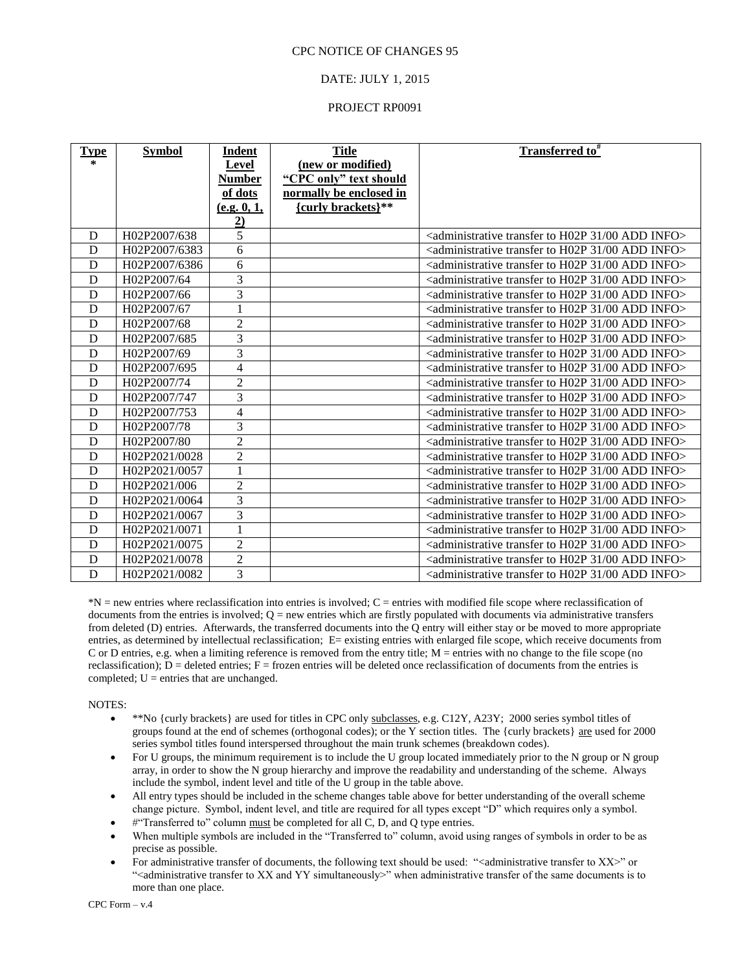#### DATE: JULY 1, 2015

#### PROJECT RP0091

| <b>Type</b><br>$\ast$ | <b>Symbol</b> | <u>Indent</u><br>Level<br><b>Number</b><br>of dots<br>(e.g. 0, 1, | <b>Title</b><br>(new or modified)<br>"CPC only" text should<br>normally be enclosed in<br>{curly brackets}** | <b>Transferred to</b> <sup>#</sup>                                                                       |
|-----------------------|---------------|-------------------------------------------------------------------|--------------------------------------------------------------------------------------------------------------|----------------------------------------------------------------------------------------------------------|
| D                     | H02P2007/638  | $\overline{2}$<br>$\overline{5}$                                  |                                                                                                              | $\alpha$ <administrative 00="" 31="" add="" h02p="" info<math="" to="" transfer="">&gt;</administrative> |
| D                     | H02P2007/6383 | 6                                                                 |                                                                                                              | $\alpha$ <administrative 00="" 31="" add="" h02p="" info<math="" to="" transfer="">&gt;</administrative> |
| D                     | H02P2007/6386 | 6                                                                 |                                                                                                              | <administrative 00="" 31="" add="" h02p="" info="" to="" transfer=""></administrative>                   |
| D                     | H02P2007/64   | $\overline{3}$                                                    |                                                                                                              | <administrative 00="" 31="" add="" h02p="" info="" to="" transfer=""></administrative>                   |
| D                     | H02P2007/66   | $\overline{3}$                                                    |                                                                                                              | <administrative 00="" 31="" add="" h02p="" info="" to="" transfer=""></administrative>                   |
| D                     | H02P2007/67   | $\overline{1}$                                                    |                                                                                                              | $\alpha$ <administrative 00="" 31="" add="" h02p="" info<math="" to="" transfer="">&gt;</administrative> |
| D                     | H02P2007/68   | $\mathbf{2}$                                                      |                                                                                                              | $\alpha$ <administrative 00="" 31="" add="" h02p="" info<math="" to="" transfer="">&gt;</administrative> |
| D                     | H02P2007/685  | $\overline{3}$                                                    |                                                                                                              | <administrative 00="" 31="" add="" h02p="" info="" to="" transfer=""></administrative>                   |
| D                     | H02P2007/69   | $\overline{3}$                                                    |                                                                                                              | <administrative 00="" 31="" add="" h02p="" info="" to="" transfer=""></administrative>                   |
| D                     | H02P2007/695  | $\overline{4}$                                                    |                                                                                                              | $\alpha$ <administrative 00="" 31="" add="" h02p="" info<math="" to="" transfer="">&gt;</administrative> |
| D                     | H02P2007/74   | $\overline{2}$                                                    |                                                                                                              | $\alpha$ <administrative 00="" 31="" add="" h02p="" info<math="" to="" transfer="">&gt;</administrative> |
| D                     | H02P2007/747  | $\overline{3}$                                                    |                                                                                                              | $\alpha$ <administrative 00="" 31="" add="" h02p="" info<math="" to="" transfer="">&gt;</administrative> |
| D                     | H02P2007/753  | $\overline{4}$                                                    |                                                                                                              | <administrative 00="" 31="" add="" h02p="" info="" to="" transfer=""></administrative>                   |
| D                     | H02P2007/78   | $\overline{3}$                                                    |                                                                                                              | $\alpha$ <administrative 00="" 31="" add="" h02p="" info<math="" to="" transfer="">&gt;</administrative> |
| D                     | H02P2007/80   | $\overline{2}$                                                    |                                                                                                              | $\alpha$ <administrative 00="" 31="" add="" h02p="" info<math="" to="" transfer="">&gt;</administrative> |
| D                     | H02P2021/0028 | $\overline{2}$                                                    |                                                                                                              | <administrative 00="" 31="" add="" h02p="" info="" to="" transfer=""></administrative>                   |
| D                     | H02P2021/0057 | 1                                                                 |                                                                                                              | $\alpha$ <administrative 00="" 31="" add="" h02p="" info<math="" to="" transfer="">&gt;</administrative> |
| D                     | H02P2021/006  | $\overline{2}$                                                    |                                                                                                              | $\alpha$ <administrative 00="" 31="" add="" h02p="" info<math="" to="" transfer="">&gt;</administrative> |
| D                     | H02P2021/0064 | $\overline{3}$                                                    |                                                                                                              | <administrative 00="" 31="" add="" h02p="" info="" to="" transfer=""></administrative>                   |
| D                     | H02P2021/0067 | $\overline{3}$                                                    |                                                                                                              | <administrative 00="" 31="" add="" h02p="" info="" to="" transfer=""></administrative>                   |
| D                     | H02P2021/0071 | 1                                                                 |                                                                                                              | <administrative 00="" 31="" add="" h02p="" info="" to="" transfer=""></administrative>                   |
| D                     | H02P2021/0075 | $\overline{2}$                                                    |                                                                                                              | <administrative 00="" 31="" add="" h02p="" info="" to="" transfer=""></administrative>                   |
| D                     | H02P2021/0078 | $\overline{2}$                                                    |                                                                                                              | $\alpha$ <administrative 00="" 31="" add="" h02p="" info<math="" to="" transfer="">&gt;</administrative> |
| D                     | H02P2021/0082 | $\overline{3}$                                                    |                                                                                                              | <administrative 00="" 31="" add="" h02p="" info="" to="" transfer=""></administrative>                   |

\*N = new entries where reclassification into entries is involved; C = entries with modified file scope where reclassification of documents from the entries is involved;  $Q =$  new entries which are firstly populated with documents via administrative transfers from deleted (D) entries. Afterwards, the transferred documents into the Q entry will either stay or be moved to more appropriate entries, as determined by intellectual reclassification; E= existing entries with enlarged file scope, which receive documents from C or D entries, e.g. when a limiting reference is removed from the entry title;  $M =$  entries with no change to the file scope (no reclassification);  $D =$  deleted entries;  $F =$  frozen entries will be deleted once reclassification of documents from the entries is completed;  $U =$  entries that are unchanged.

NOTES:

- \*\*No {curly brackets} are used for titles in CPC only subclasses, e.g. C12Y, A23Y; 2000 series symbol titles of groups found at the end of schemes (orthogonal codes); or the Y section titles. The {curly brackets} are used for 2000 series symbol titles found interspersed throughout the main trunk schemes (breakdown codes).
- For U groups, the minimum requirement is to include the U group located immediately prior to the N group or N group array, in order to show the N group hierarchy and improve the readability and understanding of the scheme. Always include the symbol, indent level and title of the U group in the table above.
- All entry types should be included in the scheme changes table above for better understanding of the overall scheme change picture. Symbol, indent level, and title are required for all types except "D" which requires only a symbol.
- #"Transferred to" column must be completed for all C, D, and Q type entries.
- When multiple symbols are included in the "Transferred to" column, avoid using ranges of symbols in order to be as precise as possible.
- For administrative transfer of documents, the following text should be used: "<administrative transfer to XX>" or "<administrative transfer to XX and YY simultaneously>" when administrative transfer of the same documents is to more than one place.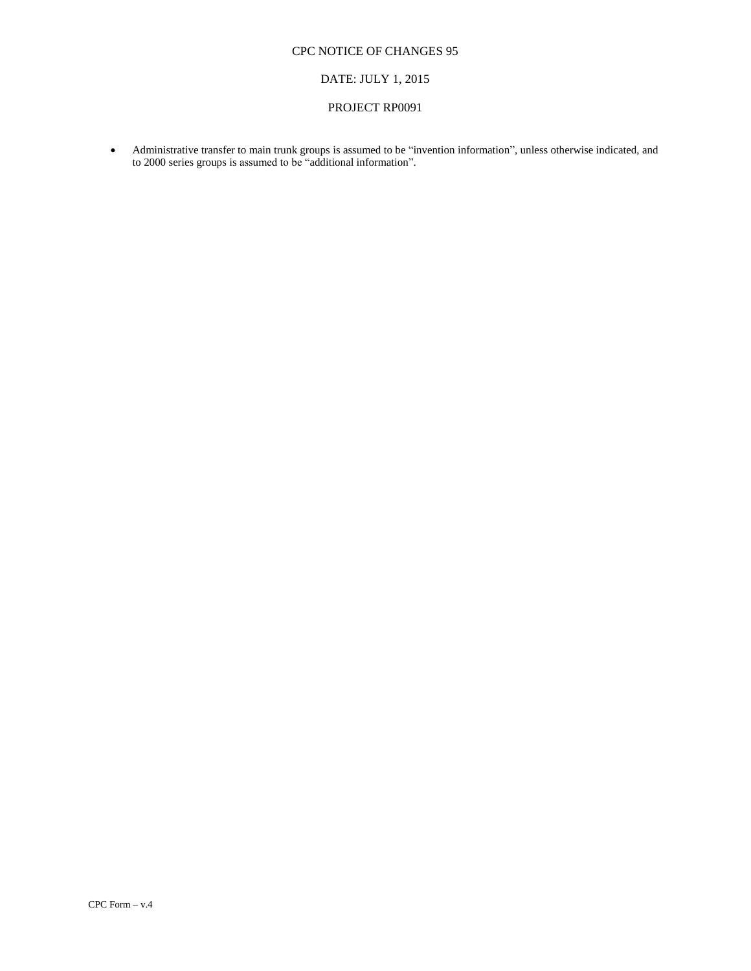### DATE: JULY 1, 2015

#### PROJECT RP0091

 Administrative transfer to main trunk groups is assumed to be "invention information", unless otherwise indicated, and to 2000 series groups is assumed to be "additional information".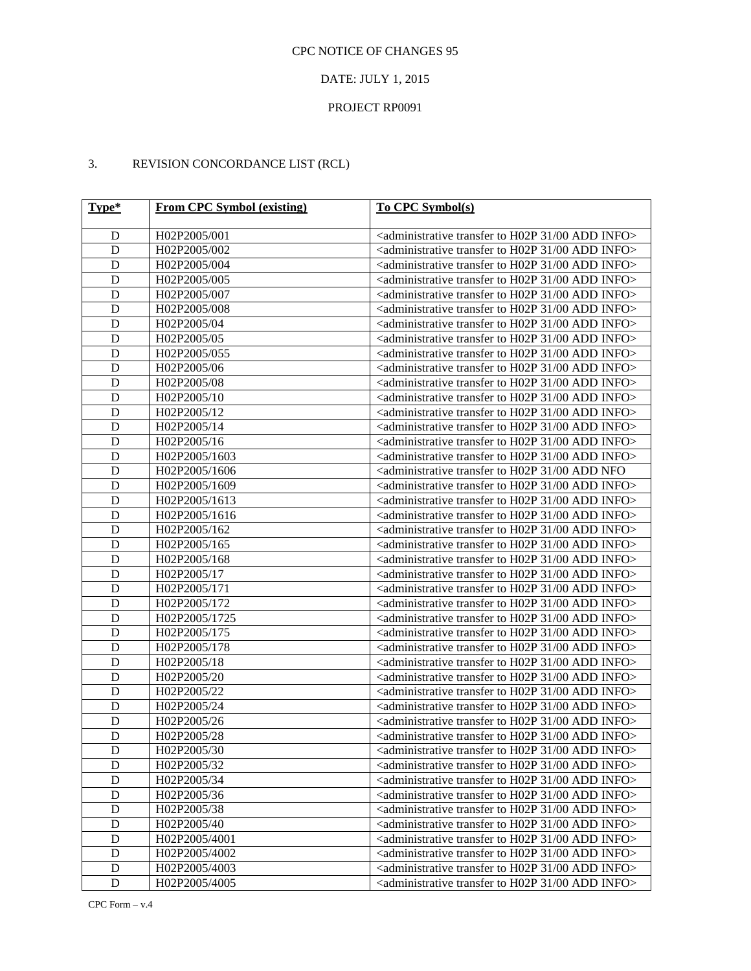### DATE: JULY 1, 2015

### PROJECT RP0091

# 3. REVISION CONCORDANCE LIST (RCL)

| $Type*$     | <b>From CPC Symbol (existing)</b> | To CPC Symbol(s)                                                                             |
|-------------|-----------------------------------|----------------------------------------------------------------------------------------------|
| D           | H02P2005/001                      | <administrative 00="" 31="" add="" h02p="" info="" to="" transfer=""></administrative>       |
| D           | H02P2005/002                      | <administrative 00="" 31="" add="" h02p="" info="" to="" transfer=""></administrative>       |
| D           | H02P2005/004                      | <administrative 00="" 31="" add="" h02p="" info="" to="" transfer=""></administrative>       |
| D           | H02P2005/005                      | <administrative 00="" 31="" add="" h02p="" info="" to="" transfer=""></administrative>       |
| D           | H02P2005/007                      | <administrative 00="" 31="" add="" h02p="" info="" to="" transfer=""></administrative>       |
| D           | H02P2005/008                      | <administrative 00="" 31="" add="" h02p="" info="" to="" transfer=""></administrative>       |
| D           | H02P2005/04                       | <administrative 00="" 31="" add="" h02p="" info="" to="" transfer=""></administrative>       |
| D           | H02P2005/05                       | <administrative 00="" 31="" add="" h02p="" info="" to="" transfer=""></administrative>       |
| D           | H02P2005/055                      | <administrative 00="" 31="" add="" h02p="" info="" to="" transfer=""></administrative>       |
| D           | H02P2005/06                       | <administrative 00="" 31="" add="" h02p="" info="" to="" transfer=""></administrative>       |
| D           | H02P2005/08                       | <administrative 00="" 31="" add="" h02p="" info="" to="" transfer=""></administrative>       |
| D           | H02P2005/10                       | <administrative 00="" 31="" add="" h02p="" info="" to="" transfer=""></administrative>       |
| D           | H02P2005/12                       | <administrative 00="" 31="" add="" h02p="" info="" to="" transfer=""></administrative>       |
| D           | H02P2005/14                       | <administrative 00="" 31="" add="" h02p="" info="" to="" transfer=""></administrative>       |
| D           | H02P2005/16                       | <administrative 00="" 31="" add="" h02p="" info="" to="" transfer=""></administrative>       |
| D           | H02P2005/1603                     | <administrative 00="" 31="" add="" h02p="" info="" to="" transfer=""></administrative>       |
| D           | H02P2005/1606                     | <administrative 00="" 31="" add="" h02p="" nfo<="" td="" to="" transfer=""></administrative> |
| D           | H02P2005/1609                     | <administrative 00="" 31="" add="" h02p="" info="" to="" transfer=""></administrative>       |
| D           | H02P2005/1613                     | <administrative 00="" 31="" add="" h02p="" info="" to="" transfer=""></administrative>       |
| D           | H02P2005/1616                     | <administrative 00="" 31="" add="" h02p="" info="" to="" transfer=""></administrative>       |
| D           | H02P2005/162                      | <administrative 00="" 31="" add="" h02p="" info="" to="" transfer=""></administrative>       |
| D           | H02P2005/165                      | <administrative 00="" 31="" add="" h02p="" info="" to="" transfer=""></administrative>       |
| D           | H02P2005/168                      | <administrative 00="" 31="" add="" h02p="" info="" to="" transfer=""></administrative>       |
| D           | H02P2005/17                       | <administrative 00="" 31="" add="" h02p="" info="" to="" transfer=""></administrative>       |
| D           | H02P2005/171                      | <administrative 00="" 31="" add="" h02p="" info="" to="" transfer=""></administrative>       |
| D           | H02P2005/172                      | <administrative 00="" 31="" add="" h02p="" info="" to="" transfer=""></administrative>       |
| D           | H02P2005/1725                     | <administrative 00="" 31="" add="" h02p="" info="" to="" transfer=""></administrative>       |
| D           | H02P2005/175                      | <administrative 00="" 31="" add="" h02p="" info="" to="" transfer=""></administrative>       |
| D           | H02P2005/178                      | <administrative 00="" 31="" add="" h02p="" info="" to="" transfer=""></administrative>       |
| D           | H02P2005/18                       | <administrative 00="" 31="" add="" h02p="" info="" to="" transfer=""></administrative>       |
| D           | H02P2005/20                       | <administrative 00="" 31="" add="" h02p="" info="" to="" transfer=""></administrative>       |
| D           | H02P2005/22                       | <administrative 00="" 31="" add="" h02p="" info="" to="" transfer=""></administrative>       |
| D           | H02P2005/24                       | <administrative 00="" 31="" add="" h02p="" info="" to="" transfer=""></administrative>       |
| D           | H02P2005/26                       | <administrative 00="" 31="" add="" h02p="" info="" to="" transfer=""></administrative>       |
| D           | H02P2005/28                       | <administrative 00="" 31="" add="" h02p="" info="" to="" transfer=""></administrative>       |
| D           | H02P2005/30                       | <administrative 00="" 31="" add="" h02p="" info="" to="" transfer=""></administrative>       |
| D           | H02P2005/32                       | <administrative 00="" 31="" add="" h02p="" info="" to="" transfer=""></administrative>       |
| D           | H02P2005/34                       | <administrative 00="" 31="" add="" h02p="" info="" to="" transfer=""></administrative>       |
| D           | H02P2005/36                       | <administrative 00="" 31="" add="" h02p="" info="" to="" transfer=""></administrative>       |
| D           | H02P2005/38                       | <administrative 00="" 31="" add="" h02p="" info="" to="" transfer=""></administrative>       |
| D           | H02P2005/40                       | <administrative 00="" 31="" add="" h02p="" info="" to="" transfer=""></administrative>       |
| D           | H02P2005/4001                     | <administrative 00="" 31="" add="" h02p="" info="" to="" transfer=""></administrative>       |
| D           | H02P2005/4002                     | <administrative 00="" 31="" add="" h02p="" info="" to="" transfer=""></administrative>       |
| $\mathbf D$ | H02P2005/4003                     | <administrative 00="" 31="" add="" h02p="" info="" to="" transfer=""></administrative>       |
| D           | H02P2005/4005                     | <administrative 00="" 31="" add="" h02p="" info="" to="" transfer=""></administrative>       |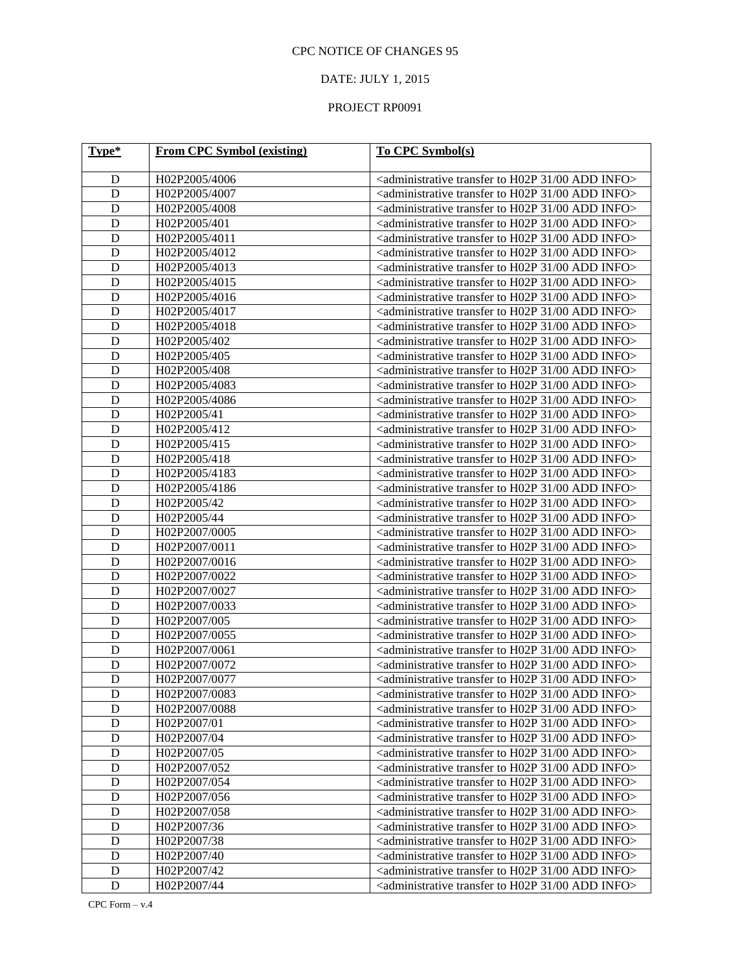### DATE: JULY 1, 2015

| Type*          | <b>From CPC Symbol (existing)</b> | To CPC Symbol(s)                                                                       |
|----------------|-----------------------------------|----------------------------------------------------------------------------------------|
|                |                                   |                                                                                        |
| D              | H02P2005/4006                     | <administrative 00="" 31="" add="" h02p="" info="" to="" transfer=""></administrative> |
| D              | H02P2005/4007                     | <administrative 00="" 31="" add="" h02p="" info="" to="" transfer=""></administrative> |
| D              | H02P2005/4008                     | <administrative 00="" 31="" add="" h02p="" info="" to="" transfer=""></administrative> |
| $\mathbf D$    | H02P2005/401                      | <administrative 00="" 31="" add="" h02p="" info="" to="" transfer=""></administrative> |
| $\mathbf D$    | H02P2005/4011                     | <administrative 00="" 31="" add="" h02p="" info="" to="" transfer=""></administrative> |
| $\mathbf D$    | H02P2005/4012                     | <administrative 00="" 31="" add="" h02p="" info="" to="" transfer=""></administrative> |
| $\mathbf D$    | H02P2005/4013                     | <administrative 00="" 31="" add="" h02p="" info="" to="" transfer=""></administrative> |
| $\mathbf D$    | H02P2005/4015                     | <administrative 00="" 31="" add="" h02p="" info="" to="" transfer=""></administrative> |
| $\mathbf D$    | H02P2005/4016                     | <administrative 00="" 31="" add="" h02p="" info="" to="" transfer=""></administrative> |
| $\mathbf D$    | H02P2005/4017                     | <administrative 00="" 31="" add="" h02p="" info="" to="" transfer=""></administrative> |
| $\mathbf D$    | H02P2005/4018                     | <administrative 00="" 31="" add="" h02p="" info="" to="" transfer=""></administrative> |
| $\mathbf D$    | H02P2005/402                      | <administrative 00="" 31="" add="" h02p="" info="" to="" transfer=""></administrative> |
| $\mathbf D$    | H02P2005/405                      | <administrative 00="" 31="" add="" h02p="" info="" to="" transfer=""></administrative> |
| $\mathbf D$    | H02P2005/408                      | <administrative 00="" 31="" add="" h02p="" info="" to="" transfer=""></administrative> |
| $\mathbf D$    | H02P2005/4083                     | <administrative 00="" 31="" add="" h02p="" info="" to="" transfer=""></administrative> |
| $\mathbf D$    | H02P2005/4086                     | <administrative 00="" 31="" add="" h02p="" info="" to="" transfer=""></administrative> |
| $\mathbf D$    | H02P2005/41                       | <administrative 00="" 31="" add="" h02p="" info="" to="" transfer=""></administrative> |
| $\mathbf D$    | H02P2005/412                      | <administrative 00="" 31="" add="" h02p="" info="" to="" transfer=""></administrative> |
| $\mathbf D$    | H02P2005/415                      | <administrative 00="" 31="" add="" h02p="" info="" to="" transfer=""></administrative> |
| $\mathbf D$    | H02P2005/418                      | <administrative 00="" 31="" add="" h02p="" info="" to="" transfer=""></administrative> |
| $\mathbf D$    | H02P2005/4183                     | <administrative 00="" 31="" add="" h02p="" info="" to="" transfer=""></administrative> |
| $\mathbf D$    | H02P2005/4186                     | <administrative 00="" 31="" add="" h02p="" info="" to="" transfer=""></administrative> |
| $\mathbf D$    | H02P2005/42                       | <administrative 00="" 31="" add="" h02p="" info="" to="" transfer=""></administrative> |
| $\mathbf D$    | H02P2005/44                       | <administrative 00="" 31="" add="" h02p="" info="" to="" transfer=""></administrative> |
| $\mathbf D$    | H02P2007/0005                     | <administrative 00="" 31="" add="" h02p="" info="" to="" transfer=""></administrative> |
| $\mathbf D$    | H02P2007/0011                     | <administrative 00="" 31="" add="" h02p="" info="" to="" transfer=""></administrative> |
| $\mathbf D$    | H02P2007/0016                     | <administrative 00="" 31="" add="" h02p="" info="" to="" transfer=""></administrative> |
| $\mathbf D$    | H02P2007/0022                     | <administrative 00="" 31="" add="" h02p="" info="" to="" transfer=""></administrative> |
| $\mathbf D$    | H02P2007/0027                     | <administrative 00="" 31="" add="" h02p="" info="" to="" transfer=""></administrative> |
| $\mathbf D$    | H02P2007/0033                     | <administrative 00="" 31="" add="" h02p="" info="" to="" transfer=""></administrative> |
| $\mathbf D$    | H02P2007/005                      | <administrative 00="" 31="" add="" h02p="" info="" to="" transfer=""></administrative> |
| $\mathbf D$    | H02P2007/0055                     | <administrative 00="" 31="" add="" h02p="" info="" to="" transfer=""></administrative> |
| $\mathbf D$    | H02P2007/0061                     | <administrative 00="" 31="" add="" h02p="" info="" to="" transfer=""></administrative> |
| $\mathbf D$    | H02P2007/0072                     | <administrative 00="" 31="" add="" h02p="" info="" to="" transfer=""></administrative> |
| $\mathbf D$    | H02P2007/0077                     | <administrative 00="" 31="" add="" h02p="" info="" to="" transfer=""></administrative> |
| $\overline{D}$ | H02P2007/0083                     | <administrative 00="" 31="" add="" h02p="" info="" to="" transfer=""></administrative> |
| D              | H02P2007/0088                     | <administrative 00="" 31="" add="" h02p="" info="" to="" transfer=""></administrative> |
| ${\bf D}$      | H02P2007/01                       | <administrative 00="" 31="" add="" h02p="" info="" to="" transfer=""></administrative> |
| $\mathbf D$    | H02P2007/04                       | <administrative 00="" 31="" add="" h02p="" info="" to="" transfer=""></administrative> |
| $\mathbf D$    | H02P2007/05                       | <administrative 00="" 31="" add="" h02p="" info="" to="" transfer=""></administrative> |
| ${\bf D}$      | H02P2007/052                      | <administrative 00="" 31="" add="" h02p="" info="" to="" transfer=""></administrative> |
| ${\bf D}$      | H02P2007/054                      | <administrative 00="" 31="" add="" h02p="" info="" to="" transfer=""></administrative> |
| $\mathbf D$    | H02P2007/056                      | <administrative 00="" 31="" add="" h02p="" info="" to="" transfer=""></administrative> |
| ${\bf D}$      | H02P2007/058                      | <administrative 00="" 31="" add="" h02p="" info="" to="" transfer=""></administrative> |
| ${\bf D}$      | H02P2007/36                       | <administrative 00="" 31="" add="" h02p="" info="" to="" transfer=""></administrative> |
| $\mathbf D$    | H02P2007/38                       | <administrative 00="" 31="" add="" h02p="" info="" to="" transfer=""></administrative> |
| ${\bf D}$      | H02P2007/40                       | <administrative 00="" 31="" add="" h02p="" info="" to="" transfer=""></administrative> |
| ${\bf D}$      | H02P2007/42                       | <administrative 00="" 31="" add="" h02p="" info="" to="" transfer=""></administrative> |
| ${\bf D}$      | H02P2007/44                       | <administrative 00="" 31="" add="" h02p="" info="" to="" transfer=""></administrative> |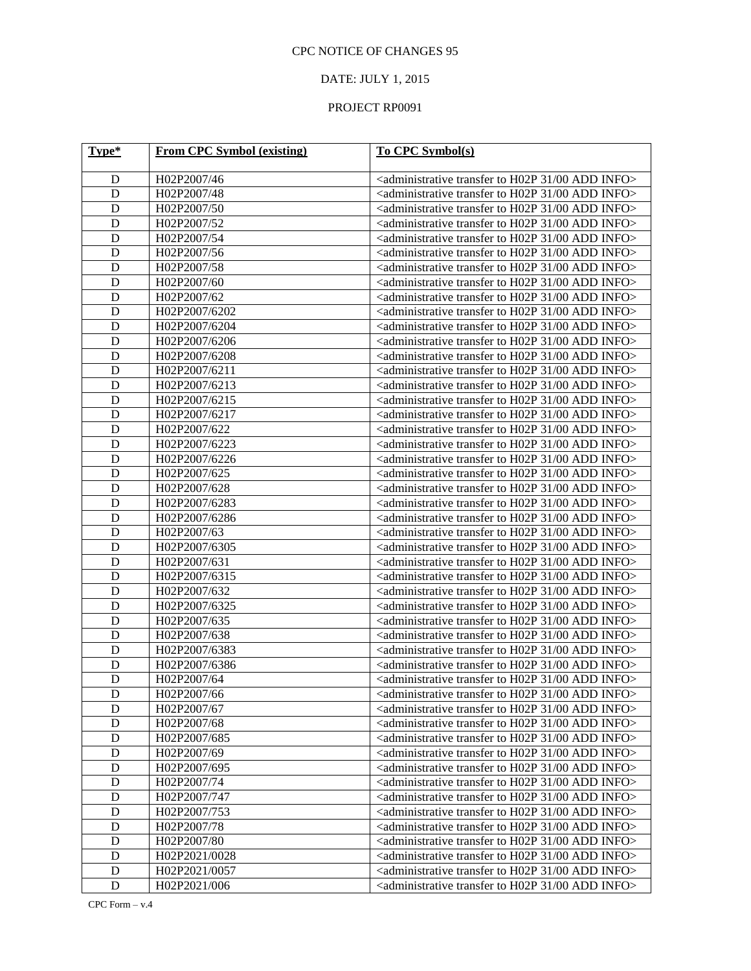### DATE: JULY 1, 2015

| Type*          | <b>From CPC Symbol (existing)</b> | To CPC Symbol(s)                                                                       |
|----------------|-----------------------------------|----------------------------------------------------------------------------------------|
|                |                                   |                                                                                        |
| D              | H02P2007/46                       | <administrative 00="" 31="" add="" h02p="" info="" to="" transfer=""></administrative> |
| D              | H02P2007/48                       | <administrative 00="" 31="" add="" h02p="" info="" to="" transfer=""></administrative> |
| D              | H02P2007/50                       | <administrative 00="" 31="" add="" h02p="" info="" to="" transfer=""></administrative> |
| $\mathbf D$    | H02P2007/52                       | <administrative 00="" 31="" add="" h02p="" info="" to="" transfer=""></administrative> |
| $\mathbf D$    | H02P2007/54                       | <administrative 00="" 31="" add="" h02p="" info="" to="" transfer=""></administrative> |
| $\mathbf D$    | H02P2007/56                       | <administrative 00="" 31="" add="" h02p="" info="" to="" transfer=""></administrative> |
| $\mathbf D$    | H02P2007/58                       | <administrative 00="" 31="" add="" h02p="" info="" to="" transfer=""></administrative> |
| $\mathbf D$    | H02P2007/60                       | <administrative 00="" 31="" add="" h02p="" info="" to="" transfer=""></administrative> |
| $\mathbf D$    | H02P2007/62                       | <administrative 00="" 31="" add="" h02p="" info="" to="" transfer=""></administrative> |
| $\mathbf D$    | H02P2007/6202                     | <administrative 00="" 31="" add="" h02p="" info="" to="" transfer=""></administrative> |
| $\mathbf D$    | H02P2007/6204                     | <administrative 00="" 31="" add="" h02p="" info="" to="" transfer=""></administrative> |
| $\mathbf D$    | H02P2007/6206                     | <administrative 00="" 31="" add="" h02p="" info="" to="" transfer=""></administrative> |
| $\mathbf D$    | H02P2007/6208                     | <administrative 00="" 31="" add="" h02p="" info="" to="" transfer=""></administrative> |
| $\mathbf D$    | H02P2007/6211                     | <administrative 00="" 31="" add="" h02p="" info="" to="" transfer=""></administrative> |
| $\mathbf D$    | H02P2007/6213                     | <administrative 00="" 31="" add="" h02p="" info="" to="" transfer=""></administrative> |
| $\mathbf D$    | H02P2007/6215                     | <administrative 00="" 31="" add="" h02p="" info="" to="" transfer=""></administrative> |
| $\mathbf D$    | H02P2007/6217                     | <administrative 00="" 31="" add="" h02p="" info="" to="" transfer=""></administrative> |
| $\mathbf D$    | H02P2007/622                      | <administrative 00="" 31="" add="" h02p="" info="" to="" transfer=""></administrative> |
| $\mathbf D$    | H02P2007/6223                     | <administrative 00="" 31="" add="" h02p="" info="" to="" transfer=""></administrative> |
| $\mathbf D$    | H02P2007/6226                     | <administrative 00="" 31="" add="" h02p="" info="" to="" transfer=""></administrative> |
| $\mathbf D$    | H02P2007/625                      | <administrative 00="" 31="" add="" h02p="" info="" to="" transfer=""></administrative> |
| $\mathbf D$    | H02P2007/628                      | <administrative 00="" 31="" add="" h02p="" info="" to="" transfer=""></administrative> |
| $\mathbf D$    | H02P2007/6283                     | <administrative 00="" 31="" add="" h02p="" info="" to="" transfer=""></administrative> |
| $\mathbf D$    | H02P2007/6286                     | <administrative 00="" 31="" add="" h02p="" info="" to="" transfer=""></administrative> |
| $\mathbf D$    | H02P2007/63                       | <administrative 00="" 31="" add="" h02p="" info="" to="" transfer=""></administrative> |
| $\mathbf D$    | H02P2007/6305                     | <administrative 00="" 31="" add="" h02p="" info="" to="" transfer=""></administrative> |
| $\mathbf D$    | H02P2007/631                      | <administrative 00="" 31="" add="" h02p="" info="" to="" transfer=""></administrative> |
| $\mathbf D$    | H02P2007/6315                     | <administrative 00="" 31="" add="" h02p="" info="" to="" transfer=""></administrative> |
| $\mathbf D$    | H02P2007/632                      | <administrative 00="" 31="" add="" h02p="" info="" to="" transfer=""></administrative> |
| $\mathbf D$    | H02P2007/6325                     | <administrative 00="" 31="" add="" h02p="" info="" to="" transfer=""></administrative> |
| $\mathbf D$    | H02P2007/635                      | <administrative 00="" 31="" add="" h02p="" info="" to="" transfer=""></administrative> |
| $\mathbf D$    | H02P2007/638                      | <administrative 00="" 31="" add="" h02p="" info="" to="" transfer=""></administrative> |
| $\mathbf D$    | H02P2007/6383                     | <administrative 00="" 31="" add="" h02p="" info="" to="" transfer=""></administrative> |
| D              | H02P2007/6386                     | <administrative 00="" 31="" add="" h02p="" info="" to="" transfer=""></administrative> |
| D              | H02P2007/64                       | <administrative 00="" 31="" add="" h02p="" info="" to="" transfer=""></administrative> |
| $\overline{D}$ | H02P2007/66                       | <administrative 00="" 31="" add="" h02p="" info="" to="" transfer=""></administrative> |
| D              | H02P2007/67                       | <administrative 00="" 31="" add="" h02p="" info="" to="" transfer=""></administrative> |
| $\mathbf D$    | H02P2007/68                       | <administrative 00="" 31="" add="" h02p="" info="" to="" transfer=""></administrative> |
| $\mathbf D$    | H02P2007/685                      | <administrative 00="" 31="" add="" h02p="" info="" to="" transfer=""></administrative> |
| $\mathbf D$    | H02P2007/69                       | <administrative 00="" 31="" add="" h02p="" info="" to="" transfer=""></administrative> |
| ${\bf D}$      | H02P2007/695                      | <administrative 00="" 31="" add="" h02p="" info="" to="" transfer=""></administrative> |
| $\mathbf D$    | H02P2007/74                       | <administrative 00="" 31="" add="" h02p="" info="" to="" transfer=""></administrative> |
| $\mathbf D$    | H02P2007/747                      | <administrative 00="" 31="" add="" h02p="" info="" to="" transfer=""></administrative> |
| ${\bf D}$      | H02P2007/753                      | <administrative 00="" 31="" add="" h02p="" info="" to="" transfer=""></administrative> |
| ${\bf D}$      | H02P2007/78                       | <administrative 00="" 31="" add="" h02p="" info="" to="" transfer=""></administrative> |
| $\mathbf D$    | H02P2007/80                       | <administrative 00="" 31="" add="" h02p="" info="" to="" transfer=""></administrative> |
| ${\bf D}$      | H02P2021/0028                     | <administrative 00="" 31="" add="" h02p="" info="" to="" transfer=""></administrative> |
| ${\bf D}$      | H02P2021/0057                     | <administrative 00="" 31="" add="" h02p="" info="" to="" transfer=""></administrative> |
| ${\bf D}$      | H02P2021/006                      | <administrative 00="" 31="" add="" h02p="" info="" to="" transfer=""></administrative> |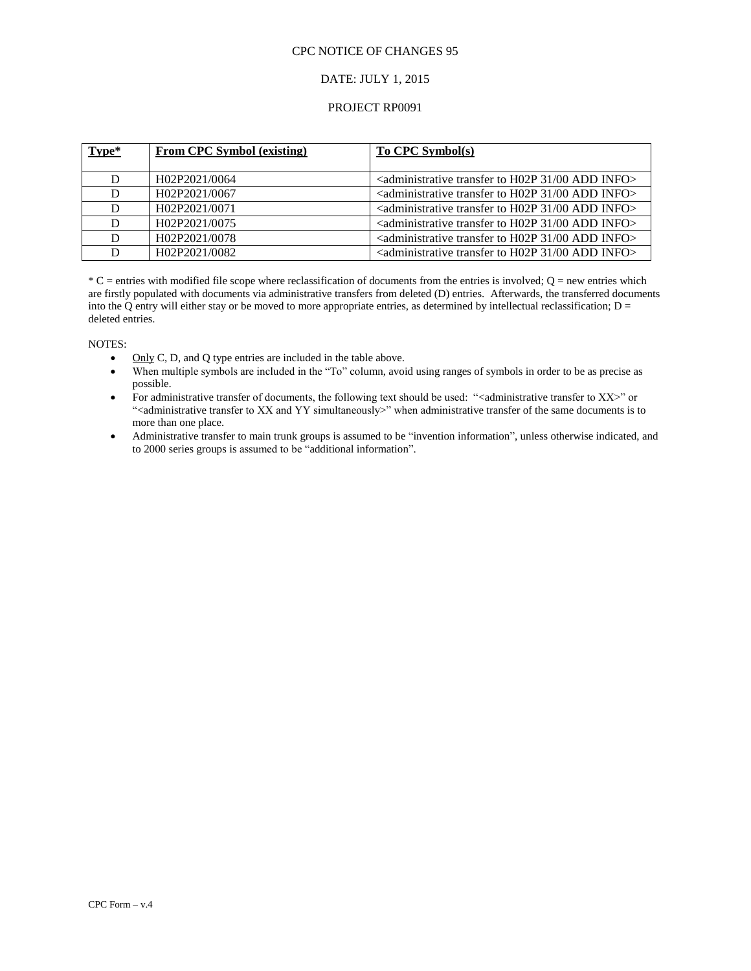#### DATE: JULY 1, 2015

#### PROJECT RP0091

| Type* | <b>From CPC Symbol (existing)</b> | <b>To CPC Symbol(s)</b>                                                                                  |
|-------|-----------------------------------|----------------------------------------------------------------------------------------------------------|
|       | H02P2021/0064                     | $\alpha$ <administrative 00="" 31="" add="" h02p="" info<math="" to="" transfer="">&gt;</administrative> |
| D     | H02P2021/0067                     | $\alpha$ <administrative 00="" 31="" add="" h02p="" info<math="" to="" transfer="">&gt;</administrative> |
|       | H02P2021/0071                     | $\alpha$ <administrative 00="" 31="" add="" h02p="" info<math="" to="" transfer="">&gt;</administrative> |
| D     | H02P2021/0075                     | <administrative 00="" 31="" add="" h02p="" info="" to="" transfer=""></administrative>                   |
| D     | H02P2021/0078                     | <administrative 00="" 31="" add="" h02p="" info="" to="" transfer=""></administrative>                   |
|       | H02P2021/0082                     | $\alpha$ <administrative 00="" 31="" add="" h02p="" info<math="" to="" transfer="">&gt;</administrative> |

 $*C$  = entries with modified file scope where reclassification of documents from the entries is involved;  $Q$  = new entries which are firstly populated with documents via administrative transfers from deleted (D) entries. Afterwards, the transferred documents into the Q entry will either stay or be moved to more appropriate entries, as determined by intellectual reclassification;  $D =$ deleted entries.

#### NOTES:

- $\bullet$  Only C, D, and Q type entries are included in the table above.
- When multiple symbols are included in the "To" column, avoid using ranges of symbols in order to be as precise as possible.
- For administrative transfer of documents, the following text should be used: "<administrative transfer to XX>" or "<administrative transfer to XX and YY simultaneously>" when administrative transfer of the same documents is to more than one place.
- Administrative transfer to main trunk groups is assumed to be "invention information", unless otherwise indicated, and to 2000 series groups is assumed to be "additional information".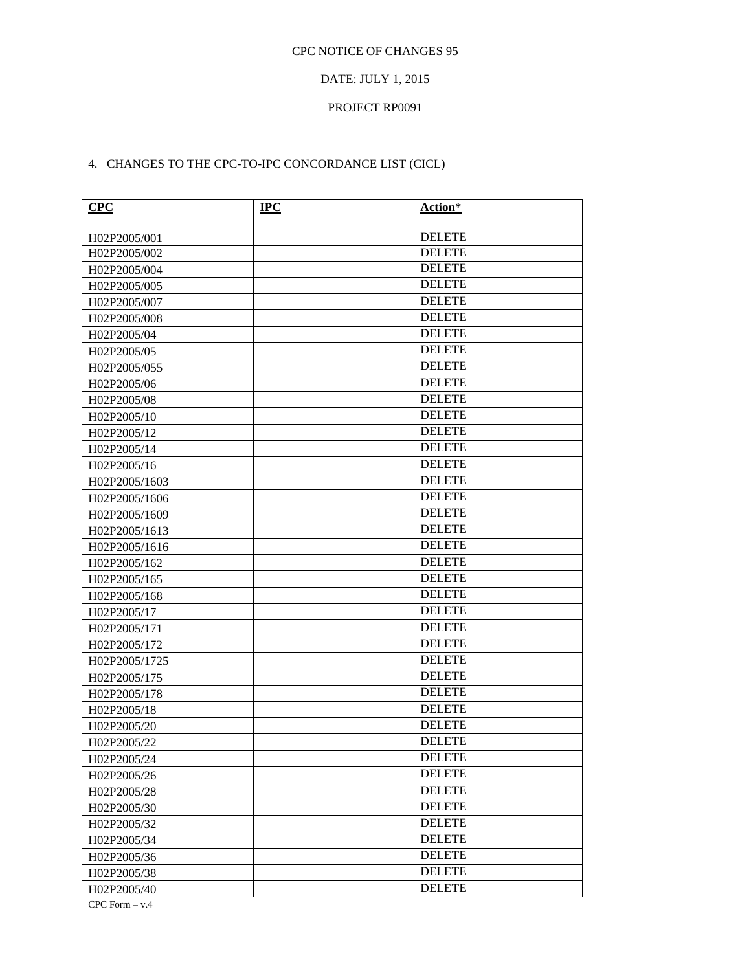### DATE: JULY 1, 2015

#### PROJECT RP0091

# 4. CHANGES TO THE CPC-TO-IPC CONCORDANCE LIST (CICL)

| CPC                           | <b>IPC</b> | Action*       |
|-------------------------------|------------|---------------|
|                               |            | <b>DELETE</b> |
| H02P2005/001<br>H02P2005/002  |            | <b>DELETE</b> |
| H02P2005/004                  |            | <b>DELETE</b> |
| H02P2005/005                  |            | <b>DELETE</b> |
|                               |            | <b>DELETE</b> |
| H02P2005/007                  |            | <b>DELETE</b> |
| H02P2005/008<br>H02P2005/04   |            | <b>DELETE</b> |
| H02P2005/05                   |            | <b>DELETE</b> |
| H02P2005/055                  |            | <b>DELETE</b> |
| H02P2005/06                   |            | <b>DELETE</b> |
| H02P2005/08                   |            | <b>DELETE</b> |
| H02P2005/10                   |            | <b>DELETE</b> |
|                               |            | <b>DELETE</b> |
| H02P2005/12<br>H02P2005/14    |            | <b>DELETE</b> |
| H02P2005/16                   |            | <b>DELETE</b> |
| H02P2005/1603                 |            | <b>DELETE</b> |
|                               |            | <b>DELETE</b> |
| H02P2005/1606                 |            | <b>DELETE</b> |
| H02P2005/1609                 |            | <b>DELETE</b> |
| H02P2005/1613                 |            | <b>DELETE</b> |
| H02P2005/1616<br>H02P2005/162 |            | <b>DELETE</b> |
|                               |            | <b>DELETE</b> |
| H02P2005/165<br>H02P2005/168  |            | <b>DELETE</b> |
| H02P2005/17                   |            | <b>DELETE</b> |
| H02P2005/171                  |            | <b>DELETE</b> |
| H02P2005/172                  |            | <b>DELETE</b> |
| H02P2005/1725                 |            | <b>DELETE</b> |
| H02P2005/175                  |            | <b>DELETE</b> |
| H02P2005/178                  |            | <b>DELETE</b> |
| H02P2005/18                   |            | <b>DELETE</b> |
| H02P2005/20                   |            | <b>DELETE</b> |
| H02P2005/22                   |            | <b>DELETE</b> |
| H02P2005/24                   |            | <b>DELETE</b> |
| H02P2005/26                   |            | <b>DELETE</b> |
|                               |            | <b>DELETE</b> |
| H02P2005/28                   |            | <b>DELETE</b> |
| H02P2005/30                   |            | <b>DELETE</b> |
| H02P2005/32                   |            | <b>DELETE</b> |
| H02P2005/34                   |            | <b>DELETE</b> |
| H02P2005/36                   |            | <b>DELETE</b> |
| H02P2005/38                   |            | <b>DELETE</b> |
| H02P2005/40                   |            |               |

CPC Form – v.4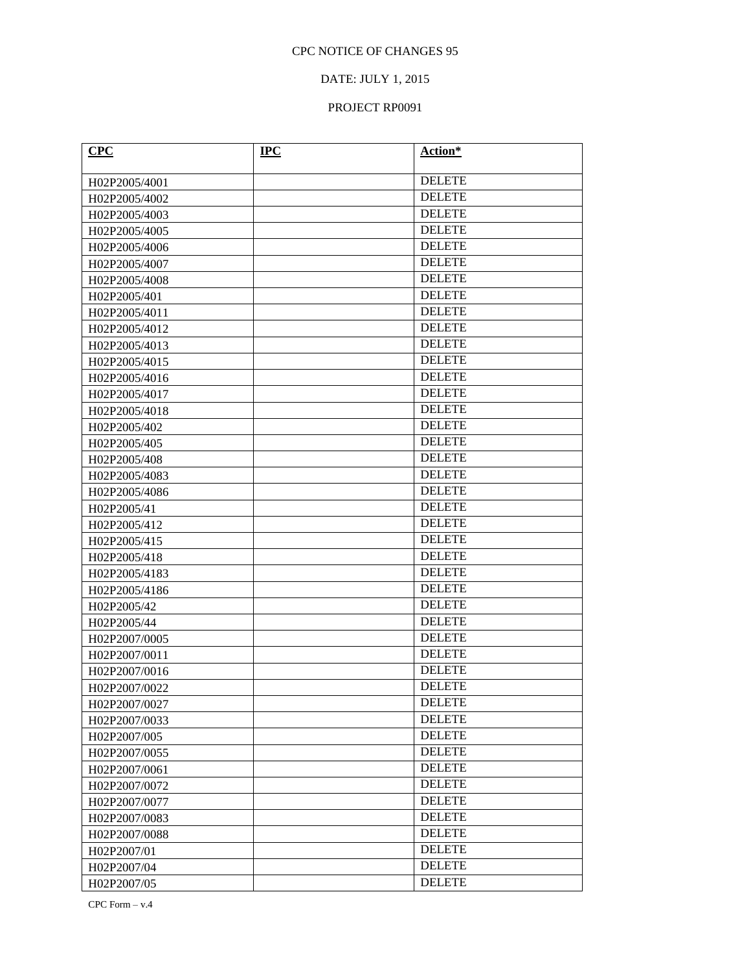### DATE: JULY 1, 2015

### PROJECT RP0091

| CPC           | $IPC$ | Action*       |
|---------------|-------|---------------|
|               |       |               |
| H02P2005/4001 |       | <b>DELETE</b> |
| H02P2005/4002 |       | <b>DELETE</b> |
| H02P2005/4003 |       | <b>DELETE</b> |
| H02P2005/4005 |       | <b>DELETE</b> |
| H02P2005/4006 |       | <b>DELETE</b> |
| H02P2005/4007 |       | <b>DELETE</b> |
| H02P2005/4008 |       | <b>DELETE</b> |
| H02P2005/401  |       | <b>DELETE</b> |
| H02P2005/4011 |       | <b>DELETE</b> |
| H02P2005/4012 |       | <b>DELETE</b> |
| H02P2005/4013 |       | <b>DELETE</b> |
| H02P2005/4015 |       | <b>DELETE</b> |
| H02P2005/4016 |       | <b>DELETE</b> |
| H02P2005/4017 |       | <b>DELETE</b> |
| H02P2005/4018 |       | <b>DELETE</b> |
| H02P2005/402  |       | <b>DELETE</b> |
| H02P2005/405  |       | <b>DELETE</b> |
| H02P2005/408  |       | <b>DELETE</b> |
| H02P2005/4083 |       | <b>DELETE</b> |
| H02P2005/4086 |       | <b>DELETE</b> |
| H02P2005/41   |       | <b>DELETE</b> |
| H02P2005/412  |       | <b>DELETE</b> |
| H02P2005/415  |       | <b>DELETE</b> |
| H02P2005/418  |       | <b>DELETE</b> |
| H02P2005/4183 |       | <b>DELETE</b> |
| H02P2005/4186 |       | <b>DELETE</b> |
| H02P2005/42   |       | <b>DELETE</b> |
| H02P2005/44   |       | <b>DELETE</b> |
| H02P2007/0005 |       | <b>DELETE</b> |
| H02P2007/0011 |       | <b>DELETE</b> |
| H02P2007/0016 |       | <b>DELETE</b> |
| H02P2007/0022 |       | <b>DELETE</b> |
| H02P2007/0027 |       | <b>DELETE</b> |
| H02P2007/0033 |       | <b>DELETE</b> |
| H02P2007/005  |       | <b>DELETE</b> |
| H02P2007/0055 |       | <b>DELETE</b> |
| H02P2007/0061 |       | <b>DELETE</b> |
| H02P2007/0072 |       | <b>DELETE</b> |
| H02P2007/0077 |       | <b>DELETE</b> |
| H02P2007/0083 |       | <b>DELETE</b> |
| H02P2007/0088 |       | <b>DELETE</b> |
| H02P2007/01   |       | <b>DELETE</b> |
| H02P2007/04   |       | <b>DELETE</b> |
| H02P2007/05   |       | <b>DELETE</b> |

CPC Form – v.4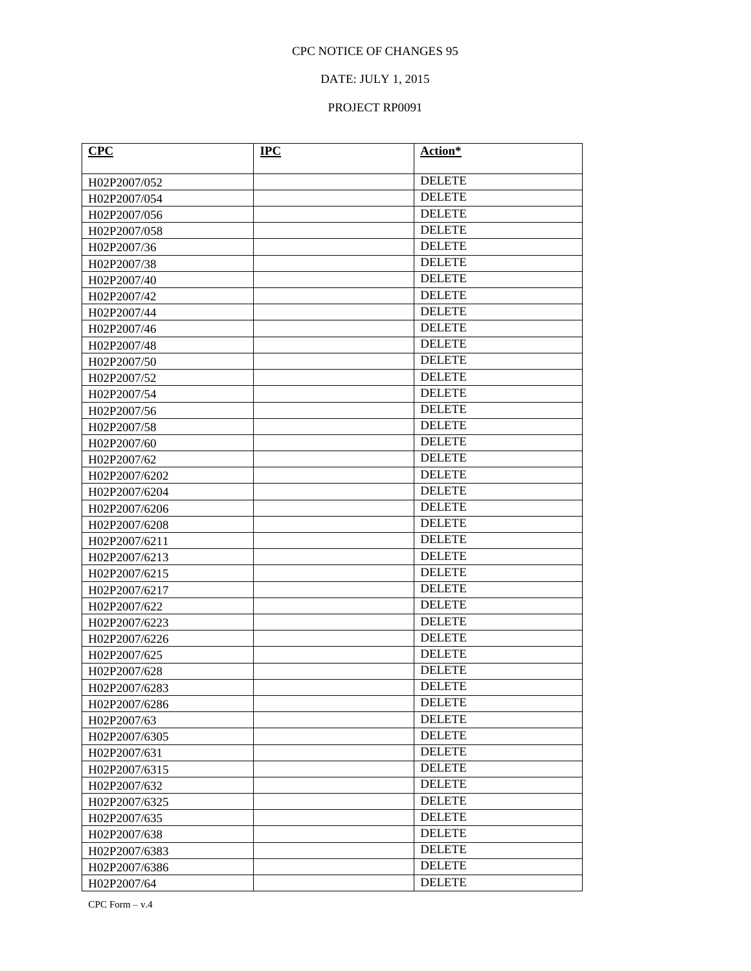### DATE: JULY 1, 2015

### PROJECT RP0091

| CPC           | $IPC$ | Action*       |
|---------------|-------|---------------|
| H02P2007/052  |       | <b>DELETE</b> |
| H02P2007/054  |       | <b>DELETE</b> |
| H02P2007/056  |       | <b>DELETE</b> |
| H02P2007/058  |       | <b>DELETE</b> |
| H02P2007/36   |       | <b>DELETE</b> |
| H02P2007/38   |       | <b>DELETE</b> |
| H02P2007/40   |       | <b>DELETE</b> |
| H02P2007/42   |       | <b>DELETE</b> |
| H02P2007/44   |       | <b>DELETE</b> |
| H02P2007/46   |       | <b>DELETE</b> |
| H02P2007/48   |       | <b>DELETE</b> |
| H02P2007/50   |       | <b>DELETE</b> |
| H02P2007/52   |       | <b>DELETE</b> |
| H02P2007/54   |       | <b>DELETE</b> |
| H02P2007/56   |       | <b>DELETE</b> |
| H02P2007/58   |       | <b>DELETE</b> |
| H02P2007/60   |       | <b>DELETE</b> |
| H02P2007/62   |       | <b>DELETE</b> |
| H02P2007/6202 |       | <b>DELETE</b> |
| H02P2007/6204 |       | <b>DELETE</b> |
| H02P2007/6206 |       | <b>DELETE</b> |
| H02P2007/6208 |       | <b>DELETE</b> |
| H02P2007/6211 |       | <b>DELETE</b> |
| H02P2007/6213 |       | <b>DELETE</b> |
| H02P2007/6215 |       | <b>DELETE</b> |
| H02P2007/6217 |       | <b>DELETE</b> |
| H02P2007/622  |       | <b>DELETE</b> |
| H02P2007/6223 |       | <b>DELETE</b> |
| H02P2007/6226 |       | <b>DELETE</b> |
| H02P2007/625  |       | <b>DELETE</b> |
| H02P2007/628  |       | <b>DELETE</b> |
| H02P2007/6283 |       | <b>DELETE</b> |
| H02P2007/6286 |       | <b>DELETE</b> |
| H02P2007/63   |       | <b>DELETE</b> |
| H02P2007/6305 |       | <b>DELETE</b> |
| H02P2007/631  |       | <b>DELETE</b> |
| H02P2007/6315 |       | <b>DELETE</b> |
| H02P2007/632  |       | <b>DELETE</b> |
| H02P2007/6325 |       | <b>DELETE</b> |
| H02P2007/635  |       | <b>DELETE</b> |
| H02P2007/638  |       | <b>DELETE</b> |
| H02P2007/6383 |       | <b>DELETE</b> |
| H02P2007/6386 |       | <b>DELETE</b> |
| H02P2007/64   |       | <b>DELETE</b> |

CPC Form – v.4